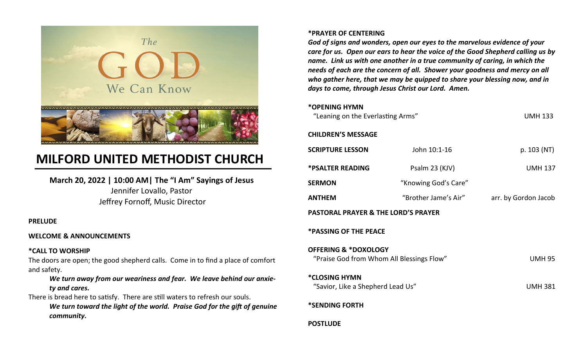

# **MILFORD UNITED METHODIST CHURCH**

**March 20, 2022 | 10:00 AM| The "I Am" Sayings of Jesus** Jennifer Lovallo, Pastor Jeffrey Fornoff, Music Director

### **PRELUDE**

### **WELCOME & ANNOUNCEMENTS**

### **\*CALL TO WORSHIP**

The doors are open; the good shepherd calls. Come in to find a place of comfort and safety.

### *We turn away from our weariness and fear. We leave behind our anxiety and cares.*

There is bread here to satisfy. There are still waters to refresh our souls. *We turn toward the light of the world. Praise God for the gift of genuine community.*

### **\*PRAYER OF CENTERING**

*God of signs and wonders, open our eyes to the marvelous evidence of your care for us. Open our ears to hear the voice of the Good Shepherd calling us by name. Link us with one another in a true community of caring, in which the needs of each are the concern of all. Shower your goodness and mercy on all who gather here, that we may be quipped to share your blessing now, and in days to come, through Jesus Christ our Lord. Amen.*

### **\*OPENING HYMN**

| "Leaning on the Everlasting Arms"                                            |                      | <b>UMH 133</b>       |
|------------------------------------------------------------------------------|----------------------|----------------------|
| <b>CHILDREN'S MESSAGE</b>                                                    |                      |                      |
| <b>SCRIPTURE LESSON</b>                                                      | John 10:1-16         | p. 103 (NT)          |
| <b>*PSALTER READING</b>                                                      | Psalm 23 (KJV)       | <b>UMH 137</b>       |
| <b>SERMON</b>                                                                | "Knowing God's Care" |                      |
| <b>ANTHEM</b>                                                                | "Brother Jame's Air" | arr. by Gordon Jacob |
| <b>PASTORAL PRAYER &amp; THE LORD'S PRAYER</b>                               |                      |                      |
| <b>*PASSING OF THE PEACE</b>                                                 |                      |                      |
| <b>OFFERING &amp; *DOXOLOGY</b><br>"Praise God from Whom All Blessings Flow" |                      | <b>UMH 95</b>        |
| *CLOSING HYMN<br>"Savior, Like a Shepherd Lead Us"                           |                      | <b>UMH 381</b>       |
| *SENDING FORTH                                                               |                      |                      |
| <b>POSTLUDE</b>                                                              |                      |                      |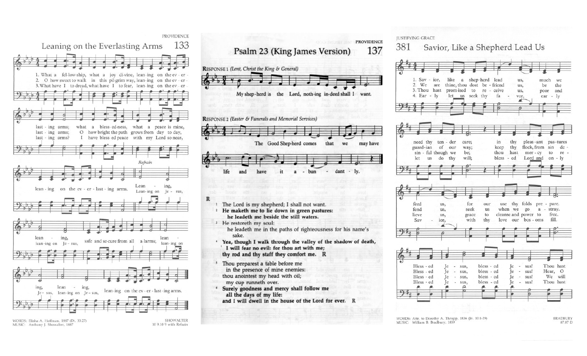



- in the presence of mine enemies: thou anointest my head with oil; my cup runneth over.
- Surely goodness and mercy shall follow me all the days of my life: and I will dwell in the house of the Lord for ever. R

**JUSTIFYING GRACE** 

#### 381 Savior, Like a Shepherd Lead Us